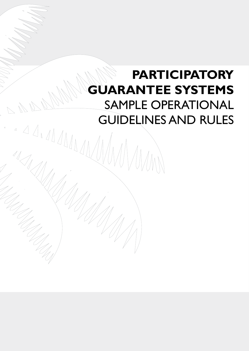# **Participatory Guarantee Systems** SAMPLE OPERATIONAL GUIDELINES AND RULES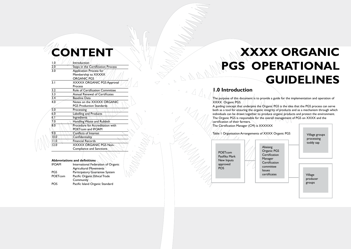|                                         | EN                                    |
|-----------------------------------------|---------------------------------------|
|                                         |                                       |
| 0.1                                     | Introduction                          |
| 2.0                                     | Steps in the Certification Process    |
| 3.0                                     | Application Process for               |
|                                         | Membership to XXXXX                   |
|                                         | <b>ORGANIC PGS</b>                    |
| 3.1                                     | <b>XXXXX ORGANIC PGS Approval</b>     |
|                                         | <b>Process</b>                        |
| $\frac{\overline{3.2}}{\overline{3.3}}$ | Role of Certification Committee       |
|                                         | <b>Annual Renewal of Certificates</b> |
| $\overline{3.4}$                        | <b>Baseline Data</b>                  |
| $\overline{4.0}$                        | Notes on the XXXXX ORGANIC            |
|                                         | <b>PGS Production Standards</b>       |
| 5.0                                     | Processing                            |
| 6.0                                     | Labelling and Products                |
| 6.1                                     | Ingredients                           |
| 7.0                                     | Handling Waste and Rubbish            |
| $\overline{8.0}$                        | Procedure for Accreditation with      |
|                                         | <b>POET com and IFOAM</b>             |
| 9.0                                     | Conflicts of Interest                 |
| 0.01                                    | Confidentiality                       |
| $11$ ,0                                 | <b>Financial Records</b>              |
| $\overline{12.0}$                       | <b>XXXXX ORGANIC PGS Non-</b>         |
|                                         | Compliance and Sanctions              |

# **CONTENT WEIGHT AND RESOURCE AND RESOURCE AND RESOURCE AND RESOURCE AND RESOURCE AND RESOURCE AND RESOURCE AND RESOURCE AND RESOURCE AND RESOURCE AND RESOURCE AND RESOURCE AND RESOURCE AND RESOURCE AND RESOURCE AND RESOURC PGS Operational Guideline s**

### **Abbreviations and definitions**

| <b>IFOAM</b> | International Federation of Organic |
|--------------|-------------------------------------|
|              | Agricultural Movements              |
| <b>PGS</b>   | Participatory Guarantee System      |
| POETcom      | Pacific Organic Ethical Trade       |
|              | Community                           |
| <b>POS</b>   | Pacific Island Organic Standard     |

# **1.0 Introduction**

The purpose of this document is to provide a guide for the implementation and operation of XXXX Organic PGS. A guiding concept that underpins the Organic PGS is the idea that the PGS process can serve both as a tool for ensuring the organic integrity of products and as a mechanism through which individuals can be drawn together to produce organic products and protect the environment. The Organic PGS is responsible for the overall management of PGS on XXXX and the certification of their farmers. The Certification Manager (CM) is  $\chi$ XXXXX

POETcom Pasifika Mark New Inputs approved POS

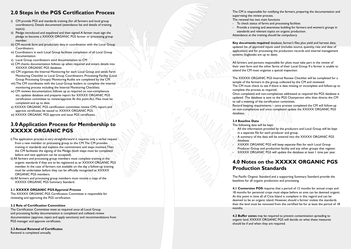# **2.0 Steps in the PGS Certification Process**

- i) CM provide PGS and standards training (for all farmers and local group coordinators). Details documented (attendance list and details of training topics).
- ii) Pledge introduced and expalined and then signed.A farmer must sign the pledge to become a XXXXX ORGANIC PGS farmer or processing group member.
- iii) CM records farm and production data in coordination with the Local Group Coordinators.
- iv) Coordinators in each Local Group facilitate completion of all Local Group documentation.
- v) Local Group coordinators send documentation to  $CM$
- vi) CM checks documentation follows up when required and enters details into XXXXX ORGANIC PGS database.
- vii) CM organises the Internal Monitoring for each Local Group and sends Farm Monitoring Checklist to Local Group Coordinators. Processing Facility (Local Group Processing Groups) Monitoring Audits are completed by the CM.
- viii) The CM coordinates with the Local Group leaders to complete the internal monitoring process including the Internal Monitoring Checklists.
- ix) CM reviews documentation, follows up as required on non-compliances etc, updates database and prepares report for XXXXX ORGANIC PGS certification committee to review/approve.At this point ALL Files must be completed and up to date.
- x) XXXXX ORGANIC PGS certification committee review CM's report and approve certificates be issued to XXXXX ORGANIC PGS.
- xi) XXXXX ORGANIC PGS approve and issue PGS certificates.

- i) The application process\is\very\straightforward it requires/only a verbal request from a new member or processing group to the CM.The CM provides training in standards and explains the commitment and steps involved.Then the CM facilitates the signing of the Pledge (both steps must be completed before and new applicant can be accepted).
- ii) All farmers and processing group members must complete training in the organic standards if they are to be registered as an XXXXX ORGANIC PGS member. In the case of farmers not available on the day a follow-up training must be undertaken before they can be officially recognised as XXXXX ORGANIC PGS members.
- iii) All farmers and processing group members must receive a copy of the XXXXX ORGANIC PGS Summary Standard.

# **3.0 Application Process for Membership to XXXXX OR GANIC PGS**

- 
- Provide a training and awareness building for farmers and women's groups in standards and relevant topics on organic production.
- Attendance at the training should be compulsory.

All the information provided by the producers and Local Group will be kept in a separate file for each producer and group.

A summary of the data will be entered into the XXXXX ORGANIC PGS

### **3.1 XXXXX OR GANIC PGS Approval Process**

The XXXXX ORGANIC PGS Certification Committee is responsible for reviewing and approving the PGS certification.

The Pacific Organic Standard and a supporting Summary Standard provide the baselines for all organic production and processing

### **3.2 Role of Certification Committee**

The Certification Committee meet as required once all Local Group and processing facility documentation is completed and collated; review documentation (approve, reject and apply sanctions) and recommendations from PGS manager and approve certificates.

**4.1 Conversion POS** requires that a period of 12 months for annual crops and 18 months for perennial crops must elapse before an area can be deemed organic. At this point in time all of Cicia Island is compliant in this regard and can be deemed to be an organic island. However, should a farmer violate the standards then the land must be removed from the certified list for at least the period of 18 months.

### **3.3 Annual Renewal of Certificates**

Renewal is completed annually.

The CM is responsible for notifying the farmers, preparing the documentation and

supervising the review process. The renewal has two main functions

- To check status of farms and processing facilities
- 
- 

**Key documents required** database, farmer's files plus yield and harvest data; updated list of approved inputs used (includes source, quantity, rate and date of application) and for processing the production records and internal management systems (logbooks are up to date).

All farmers and persons responsible for plots must take part in the review of their own farm and the other farms of their Local Group. If a farmer is unable to attend the CM must organise a special inspection.

The XXXXX ORGANIC PGS Internal Review Checklist will be completed for a sample of the farmers in the group, collected by the CM and reviewed. The CM must check to see if there is data missing or incomplete and follow-up to

Once completed and non-compliances addressed as required the PGS database is updated. The database is sent to the PGS Chairperson who then directs the CM

complete the process as required. to call a meeting of the certification committee. database..

Record keeping requirements – once process completed the CM will follow-up on non-compliances and once completed update the XXXXX ORGANIC PGS

### **3.4 Baseline Data**

The following data will be kept:

- 
- database.

XXXXX ORGANIC PGS will keep separate files for each Local Group Producer Group and production facility and any other groups that register.  $\mathcal{A}\times\mathcal{A}\times\mathcal{A}\times\mathcal{A}$  ORGANIC PGS will update the database at least 1 time per year.

# **4.0 Notes on the XXXXX OR GANIC PGS Production Standards**

**4.2 Buffer zones** may be required to prevent contamination spreading to organic land. XXXXX ORGANIC PGS will decide on what these measures should be if and when they are required.